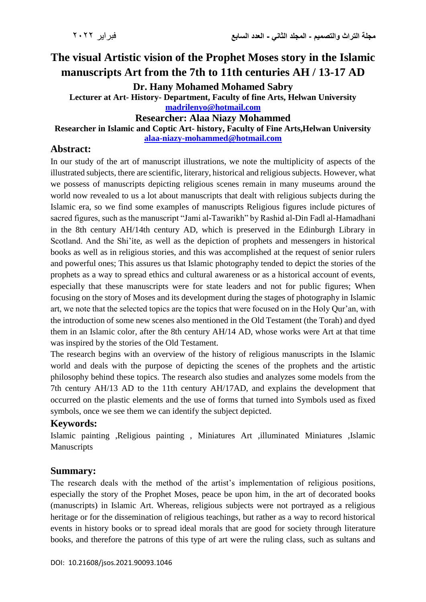# **The visual Artistic vision of the Prophet Moses story in the Islamic manuscripts Art from the 7th to 11th centuries AH / 13-17 AD**

**Dr. Hany Mohamed Mohamed Sabry**

**Lecturer at Art- History- Department, Faculty of fine Arts, Helwan University [madrilenyo@hotmail.com](mailto:madrilenyo@hotmail.com)**

#### **Researcher: Alaa Niazy Mohammed**

#### **Researcher in Islamic and Coptic Art- history, Faculty of Fine Arts,Helwan University**

**[alaa-niazy-mohammed@hotmail.com](mailto:alaa-niazy-mohammed@hotmail.com)**

## **Abstract:**

In our study of the art of manuscript illustrations, we note the multiplicity of aspects of the illustrated subjects, there are scientific, literary, historical and religious subjects. However, what we possess of manuscripts depicting religious scenes remain in many museums around the world now revealed to us a lot about manuscripts that dealt with religious subjects during the Islamic era, so we find some examples of manuscripts Religious figures include pictures of sacred figures, such as the manuscript "Jami al-Tawarikh" by Rashid al-Din Fadl al-Hamadhani in the 8th century AH/14th century AD, which is preserved in the Edinburgh Library in Scotland. And the Shi'ite, as well as the depiction of prophets and messengers in historical books as well as in religious stories, and this was accomplished at the request of senior rulers and powerful ones; This assures us that Islamic photography tended to depict the stories of the prophets as a way to spread ethics and cultural awareness or as a historical account of events, especially that these manuscripts were for state leaders and not for public figures; When focusing on the story of Moses and its development during the stages of photography in Islamic art, we note that the selected topics are the topics that were focused on in the Holy Qur'an, with the introduction of some new scenes also mentioned in the Old Testament (the Torah) and dyed them in an Islamic color, after the 8th century AH/14 AD, whose works were Art at that time was inspired by the stories of the Old Testament.

The research begins with an overview of the history of religious manuscripts in the Islamic world and deals with the purpose of depicting the scenes of the prophets and the artistic philosophy behind these topics. The research also studies and analyzes some models from the 7th century AH/13 AD to the 11th century AH/17AD, and explains the development that occurred on the plastic elements and the use of forms that turned into Symbols used as fixed symbols, once we see them we can identify the subject depicted.

## **Keywords:**

Islamic painting ,Religious painting , Miniatures Art ,illuminated Miniatures ,Islamic Manuscripts

## **Summary:**

The research deals with the method of the artist's implementation of religious positions, especially the story of the Prophet Moses, peace be upon him, in the art of decorated books (manuscripts) in Islamic Art. Whereas, religious subjects were not portrayed as a religious heritage or for the dissemination of religious teachings, but rather as a way to record historical events in history books or to spread ideal morals that are good for society through literature books, and therefore the patrons of this type of art were the ruling class, such as sultans and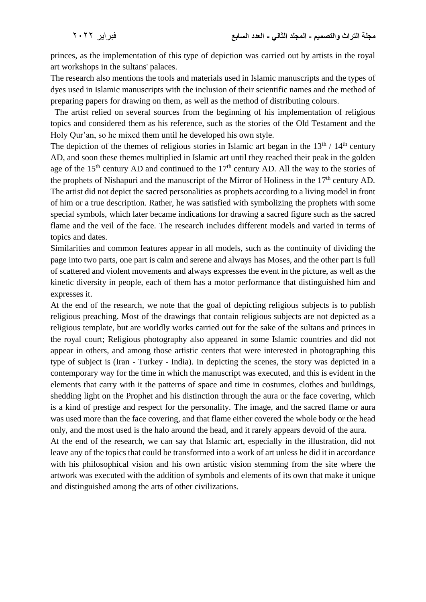princes, as the implementation of this type of depiction was carried out by artists in the royal art workshops in the sultans' palaces.

The research also mentions the tools and materials used in Islamic manuscripts and the types of dyes used in Islamic manuscripts with the inclusion of their scientific names and the method of preparing papers for drawing on them, as well as the method of distributing colours.

 The artist relied on several sources from the beginning of his implementation of religious topics and considered them as his reference, such as the stories of the Old Testament and the Holy Qur'an, so he mixed them until he developed his own style.

The depiction of the themes of religious stories in Islamic art began in the  $13<sup>th</sup> / 14<sup>th</sup>$  century AD, and soon these themes multiplied in Islamic art until they reached their peak in the golden age of the 15<sup>th</sup> century AD and continued to the 17<sup>th</sup> century AD. All the way to the stories of the prophets of Nishapuri and the manuscript of the Mirror of Holiness in the 17<sup>th</sup> century AD. The artist did not depict the sacred personalities as prophets according to a living model in front of him or a true description. Rather, he was satisfied with symbolizing the prophets with some special symbols, which later became indications for drawing a sacred figure such as the sacred flame and the veil of the face. The research includes different models and varied in terms of topics and dates.

Similarities and common features appear in all models, such as the continuity of dividing the page into two parts, one part is calm and serene and always has Moses, and the other part is full of scattered and violent movements and always expresses the event in the picture, as well as the kinetic diversity in people, each of them has a motor performance that distinguished him and expresses it.

At the end of the research, we note that the goal of depicting religious subjects is to publish religious preaching. Most of the drawings that contain religious subjects are not depicted as a religious template, but are worldly works carried out for the sake of the sultans and princes in the royal court; Religious photography also appeared in some Islamic countries and did not appear in others, and among those artistic centers that were interested in photographing this type of subject is (Iran - Turkey - India). In depicting the scenes, the story was depicted in a contemporary way for the time in which the manuscript was executed, and this is evident in the elements that carry with it the patterns of space and time in costumes, clothes and buildings, shedding light on the Prophet and his distinction through the aura or the face covering, which is a kind of prestige and respect for the personality. The image, and the sacred flame or aura was used more than the face covering, and that flame either covered the whole body or the head only, and the most used is the halo around the head, and it rarely appears devoid of the aura.

At the end of the research, we can say that Islamic art, especially in the illustration, did not leave any of the topics that could be transformed into a work of art unless he did it in accordance with his philosophical vision and his own artistic vision stemming from the site where the artwork was executed with the addition of symbols and elements of its own that make it unique and distinguished among the arts of other civilizations.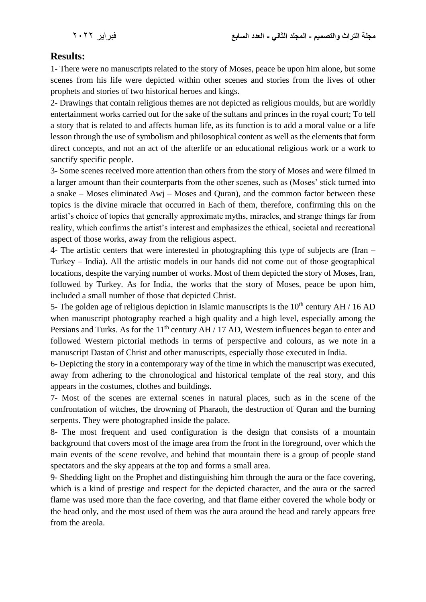# **Results:**

1- There were no manuscripts related to the story of Moses, peace be upon him alone, but some scenes from his life were depicted within other scenes and stories from the lives of other prophets and stories of two historical heroes and kings.

2- Drawings that contain religious themes are not depicted as religious moulds, but are worldly entertainment works carried out for the sake of the sultans and princes in the royal court; To tell a story that is related to and affects human life, as its function is to add a moral value or a life lesson through the use of symbolism and philosophical content as well as the elements that form direct concepts, and not an act of the afterlife or an educational religious work or a work to sanctify specific people.

3- Some scenes received more attention than others from the story of Moses and were filmed in a larger amount than their counterparts from the other scenes, such as (Moses' stick turned into a snake – Moses eliminated Awj – Moses and Quran), and the common factor between these topics is the divine miracle that occurred in Each of them, therefore, confirming this on the artist's choice of topics that generally approximate myths, miracles, and strange things far from reality, which confirms the artist's interest and emphasizes the ethical, societal and recreational aspect of those works, away from the religious aspect.

4- The artistic centers that were interested in photographing this type of subjects are (Iran – Turkey – India). All the artistic models in our hands did not come out of those geographical locations, despite the varying number of works. Most of them depicted the story of Moses, Iran, followed by Turkey. As for India, the works that the story of Moses, peace be upon him, included a small number of those that depicted Christ.

5- The golden age of religious depiction in Islamic manuscripts is the  $10<sup>th</sup>$  century AH / 16 AD when manuscript photography reached a high quality and a high level, especially among the Persians and Turks. As for the  $11<sup>th</sup>$  century AH / 17 AD, Western influences began to enter and followed Western pictorial methods in terms of perspective and colours, as we note in a manuscript Dastan of Christ and other manuscripts, especially those executed in India.

6- Depicting the story in a contemporary way of the time in which the manuscript was executed, away from adhering to the chronological and historical template of the real story, and this appears in the costumes, clothes and buildings.

7- Most of the scenes are external scenes in natural places, such as in the scene of the confrontation of witches, the drowning of Pharaoh, the destruction of Quran and the burning serpents. They were photographed inside the palace.

8- The most frequent and used configuration is the design that consists of a mountain background that covers most of the image area from the front in the foreground, over which the main events of the scene revolve, and behind that mountain there is a group of people stand spectators and the sky appears at the top and forms a small area.

9- Shedding light on the Prophet and distinguishing him through the aura or the face covering, which is a kind of prestige and respect for the depicted character, and the aura or the sacred flame was used more than the face covering, and that flame either covered the whole body or the head only, and the most used of them was the aura around the head and rarely appears free from the areola.